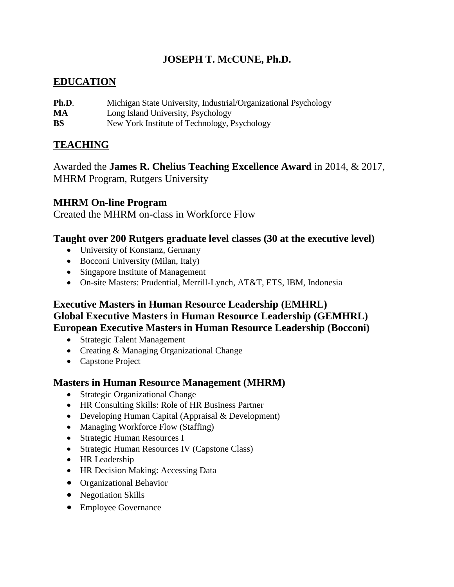# **JOSEPH T. McCUNE, Ph.D.**

### **EDUCATION**

| Ph.D.     | Michigan State University, Industrial/Organizational Psychology |
|-----------|-----------------------------------------------------------------|
| MA        | Long Island University, Psychology                              |
| <b>BS</b> | New York Institute of Technology, Psychology                    |

## **TEACHING**

Awarded the **James R. Chelius Teaching Excellence Award** in 2014, & 2017, MHRM Program, Rutgers University

### **MHRM On-line Program**

Created the MHRM on-class in Workforce Flow

### **Taught over 200 Rutgers graduate level classes (30 at the executive level)**

- University of Konstanz, Germany
- Bocconi University (Milan, Italy)
- Singapore Institute of Management
- On-site Masters: Prudential, Merrill-Lynch, AT&T, ETS, IBM, Indonesia

## **Executive Masters in Human Resource Leadership (EMHRL) Global Executive Masters in Human Resource Leadership (GEMHRL) European Executive Masters in Human Resource Leadership (Bocconi)**

- Strategic Talent Management
- Creating & Managing Organizational Change
- Capstone Project

### **Masters in Human Resource Management (MHRM)**

- Strategic Organizational Change
- HR Consulting Skills: Role of HR Business Partner
- Developing Human Capital (Appraisal & Development)
- Managing Workforce Flow (Staffing)
- Strategic Human Resources I
- Strategic Human Resources IV (Capstone Class)
- HR Leadership
- HR Decision Making: Accessing Data
- **•** Organizational Behavior
- Negotiation Skills
- Employee Governance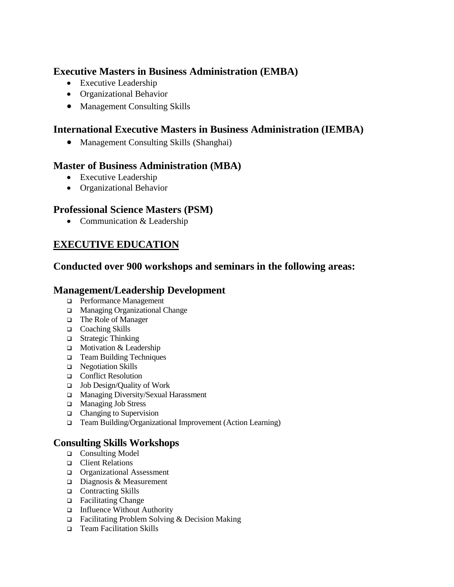## **Executive Masters in Business Administration (EMBA)**

- Executive Leadership
- Organizational Behavior
- Management Consulting Skills

## **International Executive Masters in Business Administration (IEMBA)**

Management Consulting Skills (Shanghai)

### **Master of Business Administration (MBA)**

- Executive Leadership
- Organizational Behavior

## **Professional Science Masters (PSM)**

• Communication & Leadership

# **EXECUTIVE EDUCATION**

### **Conducted over 900 workshops and seminars in the following areas:**

### **Management/Leadership Development**

- Performance Management
- □ Managing Organizational Change
- The Role of Manager
- □ Coaching Skills
- $\Box$  Strategic Thinking
- $\Box$  Motivation & Leadership
- □ Team Building Techniques
- □ Negotiation Skills
- □ Conflict Resolution
- $\Box$  Job Design/Quality of Work
- □ Managing Diversity/Sexual Harassment
- □ Managing Job Stress
- $\Box$  Changing to Supervision
- Team Building/Organizational Improvement (Action Learning)

## **Consulting Skills Workshops**

- □ Consulting Model
- □ Client Relations
- □ Organizational Assessment
- Diagnosis & Measurement
- □ Contracting Skills
- □ Facilitating Change
- □ Influence Without Authority
- Facilitating Problem Solving & Decision Making
- □ Team Facilitation Skills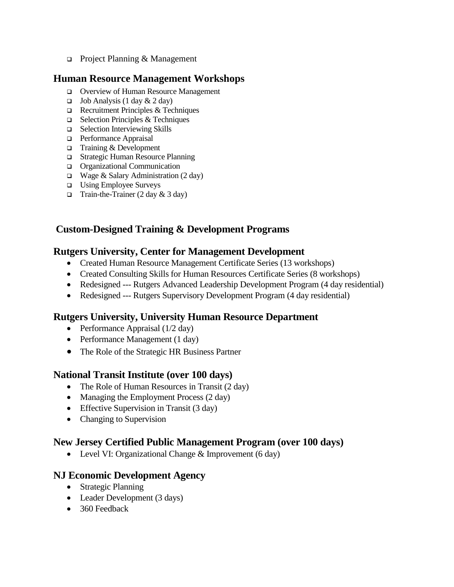□ Project Planning & Management

### **Human Resource Management Workshops**

- Overview of Human Resource Management
- $\Box$  Job Analysis (1 day & 2 day)
- $\Box$  Recruitment Principles & Techniques
- $\Box$  Selection Principles & Techniques
- □ Selection Interviewing Skills
- □ Performance Appraisal
- $\Box$  Training & Development
- □ Strategic Human Resource Planning
- Organizational Communication
- $\Box$  Wage & Salary Administration (2 day)
- $\Box$  Using Employee Surveys
- Train-the-Trainer  $(2 \text{ day } \& 3 \text{ day})$

# **Custom-Designed Training & Development Programs**

### **Rutgers University, Center for Management Development**

- Created Human Resource Management Certificate Series (13 workshops)
- Created Consulting Skills for Human Resources Certificate Series (8 workshops)
- Redesigned --- Rutgers Advanced Leadership Development Program (4 day residential)
- Redesigned --- Rutgers Supervisory Development Program (4 day residential)

## **Rutgers University, University Human Resource Department**

- Performance Appraisal  $(1/2 \text{ day})$
- Performance Management (1 day)
- The Role of the Strategic HR Business Partner

## **National Transit Institute (over 100 days)**

- The Role of Human Resources in Transit (2 day)
- Managing the Employment Process (2 day)
- Effective Supervision in Transit (3 day)
- Changing to Supervision

### **New Jersey Certified Public Management Program (over 100 days)**

• Level VI: Organizational Change & Improvement (6 day)

### **NJ Economic Development Agency**

- Strategic Planning
- Leader Development (3 days)
- 360 Feedback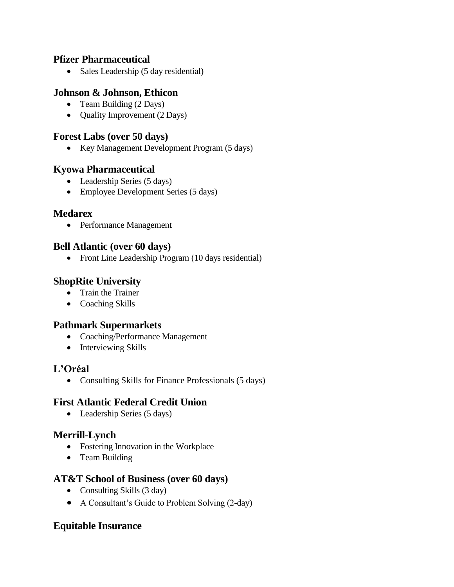### **Pfizer Pharmaceutical**

• Sales Leadership (5 day residential)

## **Johnson & Johnson, Ethicon**

- Team Building (2 Days)
- Quality Improvement (2 Days)

### **Forest Labs (over 50 days)**

• Key Management Development Program (5 days)

### **Kyowa Pharmaceutical**

- Leadership Series (5 days)
- Employee Development Series (5 days)

### **Medarex**

Performance Management

### **Bell Atlantic (over 60 days)**

• Front Line Leadership Program (10 days residential)

### **ShopRite University**

- Train the Trainer
- Coaching Skills

## **Pathmark Supermarkets**

- Coaching/Performance Management
- Interviewing Skills

### **L'Oréal**

• Consulting Skills for Finance Professionals (5 days)

### **First Atlantic Federal Credit Union**

• Leadership Series (5 days)

## **Merrill-Lynch**

- Fostering Innovation in the Workplace
- Team Building

### **AT&T School of Business (over 60 days)**

- Consulting Skills (3 day)
- A Consultant's Guide to Problem Solving (2-day)

## **Equitable Insurance**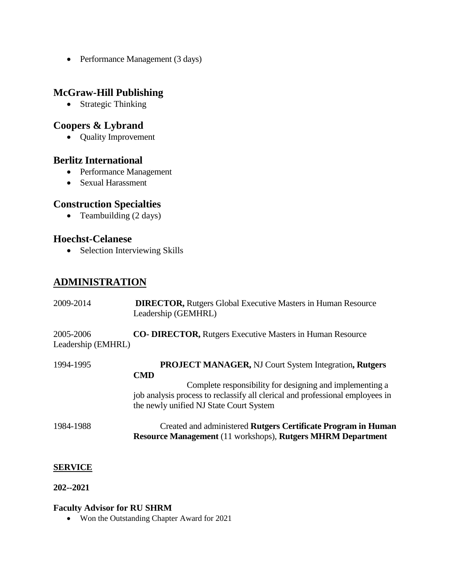• Performance Management (3 days)

### **McGraw-Hill Publishing**

• Strategic Thinking

### **Coopers & Lybrand**

• Quality Improvement

#### **Berlitz International**

- Performance Management
- Sexual Harassment

### **Construction Specialties**

• Teambuilding (2 days)

### **Hoechst-Celanese**

• Selection Interviewing Skills

# **ADMINISTRATION**

| 2009-2014                       | <b>DIRECTOR, Rutgers Global Executive Masters in Human Resource</b><br>Leadership (GEMHRL)                                                                                                                                                                         |
|---------------------------------|--------------------------------------------------------------------------------------------------------------------------------------------------------------------------------------------------------------------------------------------------------------------|
| 2005-2006<br>Leadership (EMHRL) | <b>CO- DIRECTOR, Rutgers Executive Masters in Human Resource</b>                                                                                                                                                                                                   |
| 1994-1995                       | <b>PROJECT MANAGER, NJ Court System Integration, Rutgers</b><br><b>CMD</b><br>Complete responsibility for designing and implementing a<br>job analysis process to reclassify all clerical and professional employees in<br>the newly unified NJ State Court System |
| 1984-1988                       | Created and administered Rutgers Certificate Program in Human<br><b>Resource Management (11 workshops), Rutgers MHRM Department</b>                                                                                                                                |

#### **SERVICE**

**202--2021**

#### **Faculty Advisor for RU SHRM**

• Won the Outstanding Chapter Award for 2021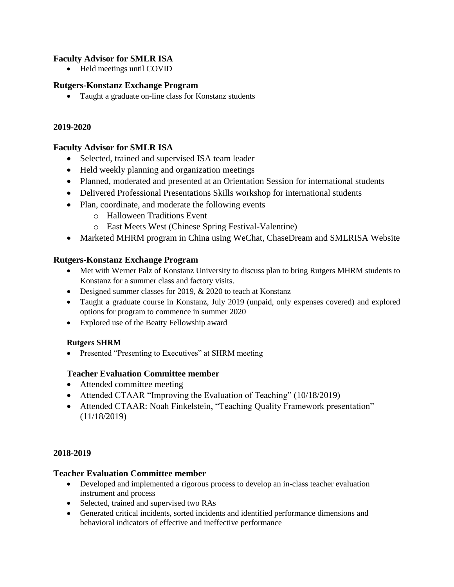#### **Faculty Advisor for SMLR ISA**

• Held meetings until COVID

#### **Rutgers-Konstanz Exchange Program**

Taught a graduate on-line class for Konstanz students

#### **2019-2020**

#### **Faculty Advisor for SMLR ISA**

- Selected, trained and supervised ISA team leader
- Held weekly planning and organization meetings
- Planned, moderated and presented at an Orientation Session for international students
- Delivered Professional Presentations Skills workshop for international students
- Plan, coordinate, and moderate the following events
	- o Halloween Traditions Event
	- o East Meets West (Chinese Spring Festival-Valentine)
- Marketed MHRM program in China using WeChat, ChaseDream and SMLRISA Website

#### **Rutgers-Konstanz Exchange Program**

- Met with Werner Palz of Konstanz University to discuss plan to bring Rutgers MHRM students to Konstanz for a summer class and factory visits.
- Designed summer classes for 2019, & 2020 to teach at Konstanz
- Taught a graduate course in Konstanz, July 2019 (unpaid, only expenses covered) and explored options for program to commence in summer 2020
- Explored use of the Beatty Fellowship award

#### **Rutgers SHRM**

• Presented "Presenting to Executives" at SHRM meeting

#### **Teacher Evaluation Committee member**

- Attended committee meeting
- Attended CTAAR "Improving the Evaluation of Teaching" (10/18/2019)
- Attended CTAAR: Noah Finkelstein, "Teaching Quality Framework presentation" (11/18/2019)

#### **2018-2019**

#### **Teacher Evaluation Committee member**

- Developed and implemented a rigorous process to develop an in-class teacher evaluation instrument and process
- Selected, trained and supervised two RAs
- Generated critical incidents, sorted incidents and identified performance dimensions and behavioral indicators of effective and ineffective performance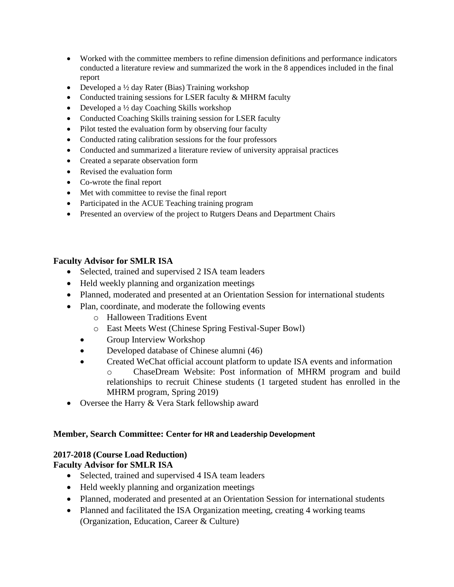- Worked with the committee members to refine dimension definitions and performance indicators conducted a literature review and summarized the work in the 8 appendices included in the final report
- Developed a  $\frac{1}{2}$  day Rater (Bias) Training workshop
- Conducted training sessions for LSER faculty & MHRM faculty
- Developed a  $\frac{1}{2}$  day Coaching Skills workshop
- Conducted Coaching Skills training session for LSER faculty
- Pilot tested the evaluation form by observing four faculty
- Conducted rating calibration sessions for the four professors
- Conducted and summarized a literature review of university appraisal practices
- Created a separate observation form
- Revised the evaluation form
- Co-wrote the final report
- Met with committee to revise the final report
- Participated in the ACUE Teaching training program
- Presented an overview of the project to Rutgers Deans and Department Chairs

#### **Faculty Advisor for SMLR ISA**

- Selected, trained and supervised 2 ISA team leaders
- Held weekly planning and organization meetings
- Planned, moderated and presented at an Orientation Session for international students
- Plan, coordinate, and moderate the following events
	- o Halloween Traditions Event
	- o East Meets West (Chinese Spring Festival-Super Bowl)
	- Group Interview Workshop
	- Developed database of Chinese alumni (46)
	- Created WeChat official account platform to update ISA events and information o ChaseDream Website: Post information of MHRM program and build relationships to recruit Chinese students (1 targeted student has enrolled in the MHRM program, Spring 2019)
- Oversee the Harry & Vera Stark fellowship award

#### **Member, Search Committee: Center for HR and Leadership Development**

### **2017-2018 (Course Load Reduction)**

### **Faculty Advisor for SMLR ISA**

- Selected, trained and supervised 4 ISA team leaders
- Held weekly planning and organization meetings
- Planned, moderated and presented at an Orientation Session for international students
- Planned and facilitated the ISA Organization meeting, creating 4 working teams (Organization, Education, Career & Culture)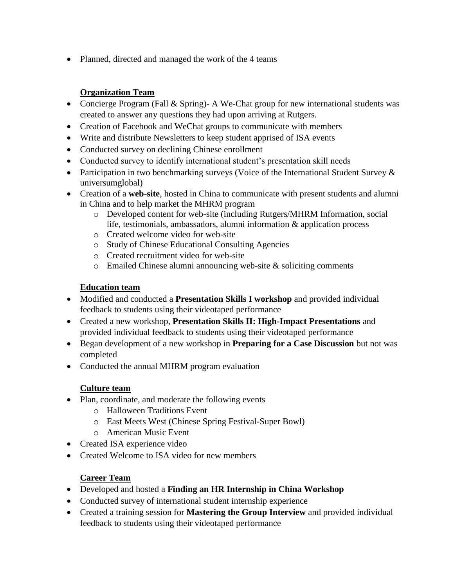• Planned, directed and managed the work of the 4 teams

### **Organization Team**

- Concierge Program (Fall & Spring)- A We-Chat group for new international students was created to answer any questions they had upon arriving at Rutgers.
- Creation of Facebook and WeChat groups to communicate with members
- Write and distribute Newsletters to keep student apprised of ISA events
- Conducted survey on declining Chinese enrollment
- Conducted survey to identify international student's presentation skill needs
- Participation in two benchmarking surveys (Voice of the International Student Survey  $\&$ universumglobal)
- Creation of a **web-site**, hosted in China to communicate with present students and alumni in China and to help market the MHRM program
	- o Developed content for web-site (including Rutgers/MHRM Information, social life, testimonials, ambassadors, alumni information & application process
	- o Created welcome video for web-site
	- o Study of Chinese Educational Consulting Agencies
	- o Created recruitment video for web-site
	- $\circ$  Emailed Chinese alumni announcing web-site & soliciting comments

#### **Education team**

- Modified and conducted a **Presentation Skills I workshop** and provided individual feedback to students using their videotaped performance
- Created a new workshop, **Presentation Skills II: High-Impact Presentations** and provided individual feedback to students using their videotaped performance
- Began development of a new workshop in **Preparing for a Case Discussion** but not was completed
- Conducted the annual MHRM program evaluation

### **Culture team**

- Plan, coordinate, and moderate the following events
	- o Halloween Traditions Event
	- o East Meets West (Chinese Spring Festival-Super Bowl)
	- o American Music Event
- Created ISA experience video
- Created Welcome to ISA video for new members

#### **Career Team**

- Developed and hosted a **Finding an HR Internship in China Workshop**
- Conducted survey of international student internship experience
- Created a training session for **Mastering the Group Interview** and provided individual feedback to students using their videotaped performance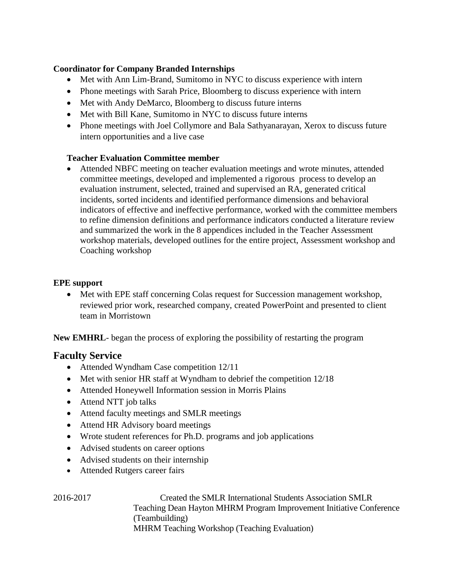#### **Coordinator for Company Branded Internships**

- Met with Ann Lim-Brand, Sumitomo in NYC to discuss experience with intern
- Phone meetings with Sarah Price, Bloomberg to discuss experience with intern
- Met with Andy DeMarco, Bloomberg to discuss future interns
- Met with Bill Kane, Sumitomo in NYC to discuss future interns
- Phone meetings with Joel Collymore and Bala Sathyanarayan, Xerox to discuss future intern opportunities and a live case

#### **Teacher Evaluation Committee member**

 Attended NBFC meeting on teacher evaluation meetings and wrote minutes, attended committee meetings, developed and implemented a rigorous process to develop an evaluation instrument, selected, trained and supervised an RA, generated critical incidents, sorted incidents and identified performance dimensions and behavioral indicators of effective and ineffective performance, worked with the committee members to refine dimension definitions and performance indicators conducted a literature review and summarized the work in the 8 appendices included in the Teacher Assessment workshop materials, developed outlines for the entire project, Assessment workshop and Coaching workshop

#### **EPE support**

 Met with EPE staff concerning Colas request for Succession management workshop, reviewed prior work, researched company, created PowerPoint and presented to client team in Morristown

**New EMHRL**- began the process of exploring the possibility of restarting the program

### **Faculty Service**

- Attended Wyndham Case competition 12/11
- Met with senior HR staff at Wyndham to debrief the competition 12/18
- Attended Honeywell Information session in Morris Plains
- Attend NTT job talks
- Attend faculty meetings and SMLR meetings
- Attend HR Advisory board meetings
- Wrote student references for Ph.D. programs and job applications
- Advised students on career options
- Advised students on their internship
- Attended Rutgers career fairs

2016-2017 Created the SMLR International Students Association SMLR Teaching Dean Hayton MHRM Program Improvement Initiative Conference (Teambuilding) MHRM Teaching Workshop (Teaching Evaluation)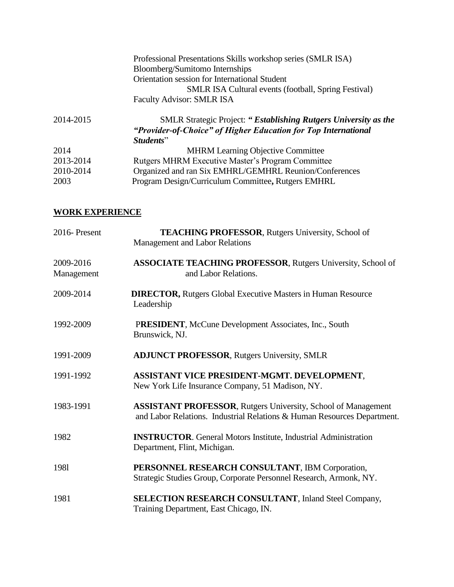| Professional Presentations Skills workshop series (SMLR ISA)<br>Bloomberg/Sumitomo Internships |
|------------------------------------------------------------------------------------------------|
| Orientation session for International Student                                                  |
| SMLR ISA Cultural events (football, Spring Festival)                                           |
| <b>Faculty Advisor: SMLR ISA</b>                                                               |
| <b>SMLR Strategic Project: "Establishing Rutgers University as the</b>                         |
| "Provider-of-Choice" of Higher Education for Top International                                 |
| Students"                                                                                      |
| <b>MHRM Learning Objective Committee</b>                                                       |
| Rutgers MHRM Executive Master's Program Committee                                              |
| Organized and ran Six EMHRL/GEMHRL Reunion/Conferences                                         |
| Program Design/Curriculum Committee, Rutgers EMHRL                                             |
|                                                                                                |

#### **WORK EXPERIENCE**

| 2016-Present            | <b>TEACHING PROFESSOR, Rutgers University, School of</b><br>Management and Labor Relations                                                      |
|-------------------------|-------------------------------------------------------------------------------------------------------------------------------------------------|
| 2009-2016<br>Management | <b>ASSOCIATE TEACHING PROFESSOR, Rutgers University, School of</b><br>and Labor Relations.                                                      |
| 2009-2014               | <b>DIRECTOR, Rutgers Global Executive Masters in Human Resource</b><br>Leadership                                                               |
| 1992-2009               | PRESIDENT, McCune Development Associates, Inc., South<br>Brunswick, NJ.                                                                         |
| 1991-2009               | <b>ADJUNCT PROFESSOR, Rutgers University, SMLR</b>                                                                                              |
| 1991-1992               | ASSISTANT VICE PRESIDENT-MGMT. DEVELOPMENT,<br>New York Life Insurance Company, 51 Madison, NY.                                                 |
| 1983-1991               | <b>ASSISTANT PROFESSOR, Rutgers University, School of Management</b><br>and Labor Relations. Industrial Relations & Human Resources Department. |
| 1982                    | <b>INSTRUCTOR.</b> General Motors Institute, Industrial Administration<br>Department, Flint, Michigan.                                          |
| 1981                    | PERSONNEL RESEARCH CONSULTANT, IBM Corporation,<br>Strategic Studies Group, Corporate Personnel Research, Armonk, NY.                           |
| 1981                    | <b>SELECTION RESEARCH CONSULTANT, Inland Steel Company,</b><br>Training Department, East Chicago, IN.                                           |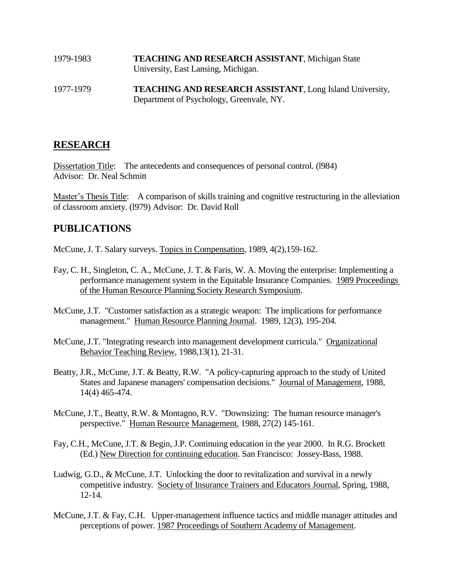| 1979-1983 | <b>TEACHING AND RESEARCH ASSISTANT, Michigan State</b><br>University, East Lansing, Michigan. |
|-----------|-----------------------------------------------------------------------------------------------|
| 1977-1979 | <b>TEACHING AND RESEARCH ASSISTANT, Long Island University,</b>                               |

Department of Psychology, Greenvale, NY.

# **RESEARCH**

Dissertation Title: The antecedents and consequences of personal control. (l984) Advisor: Dr. Neal Schmitt

Master's Thesis Title: A comparison of skills training and cognitive restructuring in the alleviation of classroom anxiety. (l979) Advisor: Dr. David Roll

#### **PUBLICATIONS**

McCune, J. T. Salary surveys. Topics in Compensation, 1989, 4(2),159-162.

- Fay, C. H., Singleton, C. A., McCune, J. T. & Faris, W. A. Moving the enterprise: Implementing a performance management system in the Equitable Insurance Companies. 1989 Proceedings of the Human Resource Planning Society Research Symposium.
- McCune, J.T. "Customer satisfaction as a strategic weapon: The implications for performance management." Human Resource Planning Journal. 1989, 12(3), 195-204.
- McCune, J.T. "Integrating research into management development curricula." Organizational Behavior Teaching Review, 1988,13(1), 21-31.
- Beatty, J.R., McCune, J.T. & Beatty, R.W. "A policy-capturing approach to the study of United States and Japanese managers' compensation decisions." Journal of Management, 1988, 14(4) 465-474.
- McCune, J.T., Beatty, R.W. & Montagno, R.V. "Downsizing: The human resource manager's perspective." Human Resource Management, 1988, 27(2) 145-161.
- Fay, C.H., McCune, J.T. & Begin, J.P. Continuing education in the year 2000. In R.G. Brockett (Ed.) New Direction for continuing education. San Francisco: Jossey-Bass, 1988.
- Ludwig, G.D., & McCune, J.T. Unlocking the door to revitalization and survival in a newly competitive industry. Society of Insurance Trainers and Educators Journal, Spring, 1988, 12-14.
- McCune, J.T. & Fay, C.H. Upper-management influence tactics and middle manager attitudes and perceptions of power. 1987 Proceedings of Southern Academy of Management.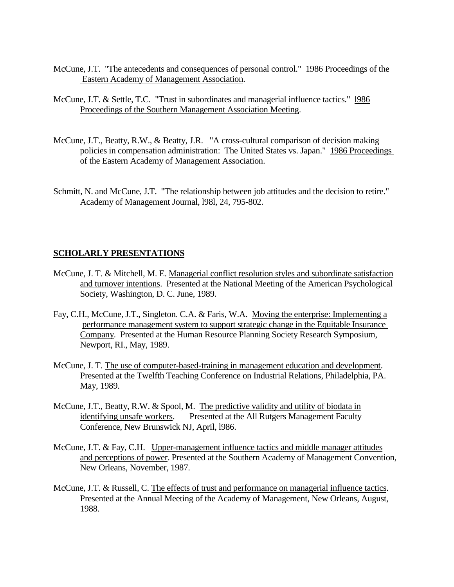- McCune, J.T. "The antecedents and consequences of personal control." 1986 Proceedings of the Eastern Academy of Management Association.
- McCune, J.T. & Settle, T.C. "Trust in subordinates and managerial influence tactics." l986 Proceedings of the Southern Management Association Meeting.
- McCune, J.T., Beatty, R.W., & Beatty, J.R. "A cross-cultural comparison of decision making policies in compensation administration: The United States vs. Japan." 1986 Proceedings of the Eastern Academy of Management Association.
- Schmitt, N. and McCune, J.T. "The relationship between job attitudes and the decision to retire." Academy of Management Journal, l98l, 24, 795-802.

#### **SCHOLARLY PRESENTATIONS**

- McCune, J. T. & Mitchell, M. E. Managerial conflict resolution styles and subordinate satisfaction and turnover intentions. Presented at the National Meeting of the American Psychological Society, Washington, D. C. June, 1989.
- Fay, C.H., McCune, J.T., Singleton. C.A. & Faris, W.A. Moving the enterprise: Implementing a performance management system to support strategic change in the Equitable Insurance Company. Presented at the Human Resource Planning Society Research Symposium, Newport, RI., May, 1989.
- McCune, J. T. The use of computer-based-training in management education and development. Presented at the Twelfth Teaching Conference on Industrial Relations, Philadelphia, PA. May, 1989.
- McCune, J.T., Beatty, R.W. & Spool, M. The predictive validity and utility of biodata in identifying unsafe workers. Presented at the All Rutgers Management Faculty Conference, New Brunswick NJ, April, l986.
- McCune, J.T. & Fay, C.H. Upper-management influence tactics and middle manager attitudes and perceptions of power. Presented at the Southern Academy of Management Convention, New Orleans, November, 1987.
- McCune, J.T. & Russell, C. The effects of trust and performance on managerial influence tactics. Presented at the Annual Meeting of the Academy of Management, New Orleans, August, 1988.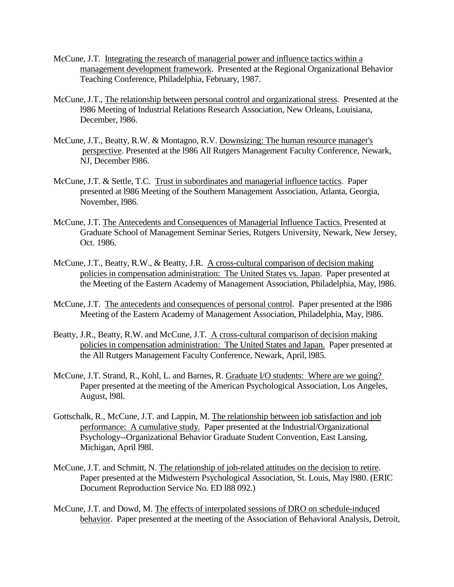- McCune, J.T. Integrating the research of managerial power and influence tactics within a management development framework. Presented at the Regional Organizational Behavior Teaching Conference, Philadelphia, February, 1987.
- McCune, J.T., The relationship between personal control and organizational stress. Presented at the l986 Meeting of Industrial Relations Research Association, New Orleans, Louisiana, December, l986.
- McCune, J.T., Beatty, R.W. & Montagno, R.V. Downsizing: The human resource manager's perspective. Presented at the l986 All Rutgers Management Faculty Conference, Newark, NJ, December l986.
- McCune, J.T. & Settle, T.C. Trust in subordinates and managerial influence tactics. Paper presented at l986 Meeting of the Southern Management Association, Atlanta, Georgia, November, l986.
- McCune, J.T. The Antecedents and Consequences of Managerial Influence Tactics. Presented at Graduate School of Management Seminar Series, Rutgers University, Newark, New Jersey, Oct. 1986.
- McCune, J.T., Beatty, R.W., & Beatty, J.R. A cross-cultural comparison of decision making policies in compensation administration: The United States vs. Japan. Paper presented at the Meeting of the Eastern Academy of Management Association, Philadelphia, May, l986.
- McCune, J.T. The antecedents and consequences of personal control. Paper presented at the l986 Meeting of the Eastern Academy of Management Association, Philadelphia, May, l986.
- Beatty, J.R., Beatty, R.W. and McCune, J.T. A cross-cultural comparison of decision making policies in compensation administration: The United States and Japan. Paper presented at the All Rutgers Management Faculty Conference, Newark, April, l985.
- McCune, J.T. Strand, R., Kohl, L. and Barnes, R. Graduate I/O students: Where are we going? Paper presented at the meeting of the American Psychological Association, Los Angeles, August, l98l.
- Gottschalk, R., McCune, J.T. and Lappin, M. The relationship between job satisfaction and job performance: A cumulative study. Paper presented at the Industrial/Organizational Psychology--Organizational Behavior Graduate Student Convention, East Lansing, Michigan, April l98l.
- McCune, J.T. and Schmitt, N. The relationship of job-related attitudes on the decision to retire. Paper presented at the Midwestern Psychological Association, St. Louis, May l980. (ERIC Document Reproduction Service No. ED l88 092.)
- McCune, J.T. and Dowd, M. The effects of interpolated sessions of DRO on schedule-induced behavior. Paper presented at the meeting of the Association of Behavioral Analysis, Detroit,